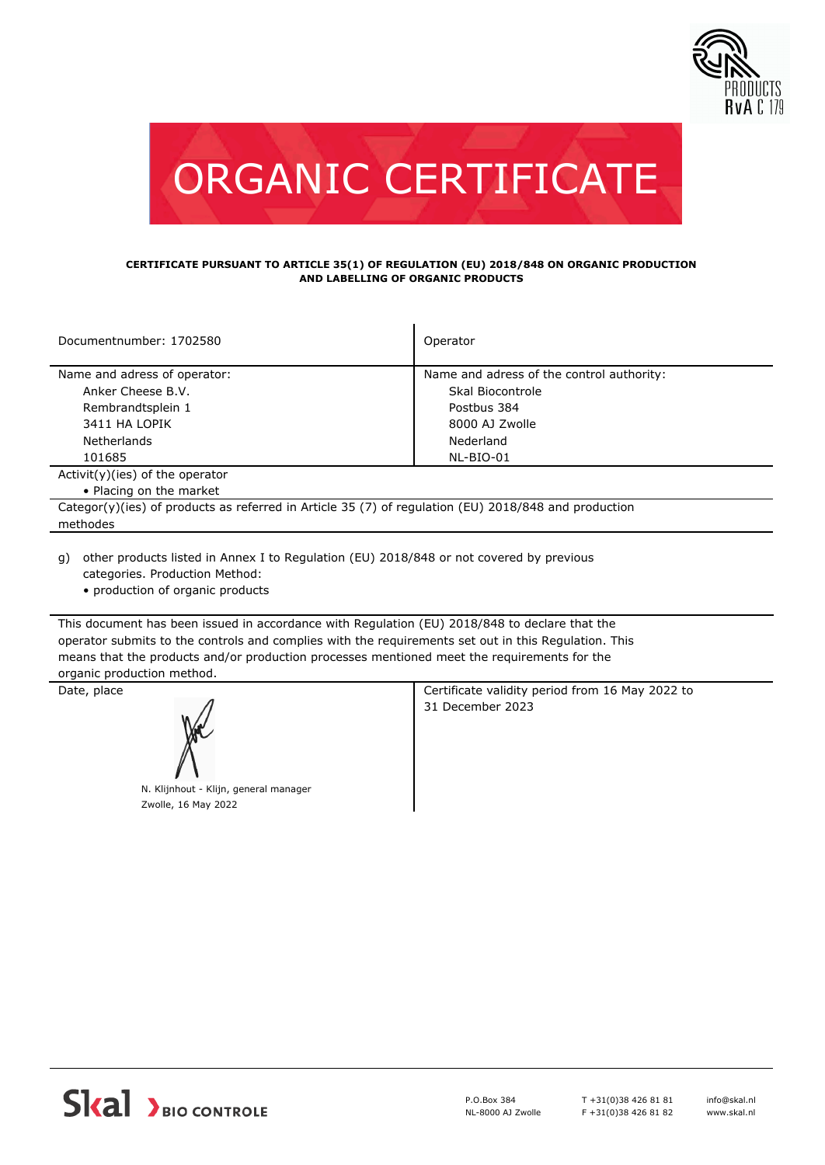



## **CERTIFICATE PURSUANT TO ARTICLE 35(1) OF REGULATION (EU) 2018/848 ON ORGANIC PRODUCTION AND LABELLING OF ORGANIC PRODUCTS**

| Documentnumber: 1702580                                                                              | Operator                                  |  |  |  |
|------------------------------------------------------------------------------------------------------|-------------------------------------------|--|--|--|
| Name and adress of operator:                                                                         | Name and adress of the control authority: |  |  |  |
| Anker Cheese B.V.                                                                                    | Skal Biocontrole                          |  |  |  |
| Rembrandtsplein 1                                                                                    | Postbus 384                               |  |  |  |
| 3411 HA LOPIK                                                                                        | 8000 AJ Zwolle                            |  |  |  |
| <b>Netherlands</b>                                                                                   | Nederland                                 |  |  |  |
| 101685                                                                                               | NL-BIO-01                                 |  |  |  |
| $Activity)(ies)$ of the operator                                                                     |                                           |  |  |  |
| • Placing on the market                                                                              |                                           |  |  |  |
| Categor(y)(ies) of products as referred in Article 35 (7) of regulation (EU) 2018/848 and production |                                           |  |  |  |
| methodes                                                                                             |                                           |  |  |  |
|                                                                                                      |                                           |  |  |  |

other products listed in Annex I to Regulation (EU) 2018/848 or not covered by previous g) categories. Production Method:

• production of organic products

This document has been issued in accordance with Regulation (EU) 2018/848 to declare that the operator submits to the controls and complies with the requirements set out in this Regulation. This means that the products and/or production processes mentioned meet the requirements for the organic production method.

N. Klijnhout - Klijn, general manager Zwolle, 16 May 2022

Date, place **Certificate validity period from 16 May 2022 to** Certificate validity period from 16 May 2022 to 31 December 2023